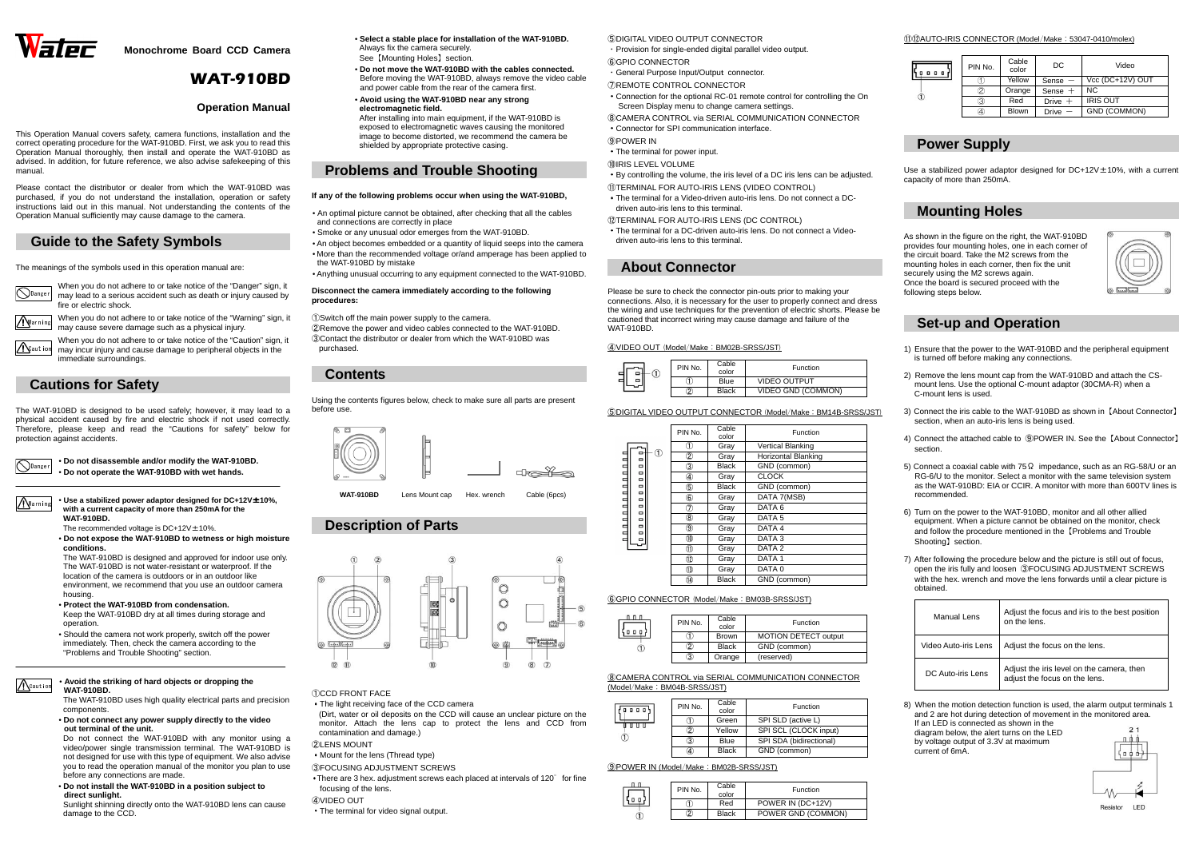

**Monochrome Board CCD Camera** 

# WAT-910BD

## **Operation Manual**

This Operation Manual covers safety, camera functions, installation and the correct operating procedure for the WAT-910BD. First, we ask you to read this Operation Manual thoroughly, then install and operate the WAT-910BD as advised. In addition, for future reference, we also advise safekeeping of this manual.

**O**Danger When you do not adhere to or take notice of the "Danger" sign, it may lead to a serious accident such as death or injury caused by fire or electric shock.

Warning

 When you do not adhere to or take notice of the "Caution" sign, it may incur injury and cause damage to peripheral objects in the immediate surroundings.  $\sum$ Caution

Please contact the distributor or dealer from which the WAT-910BD was purchased, if you do not understand the installation, operation or safety instructions laid out in this manual. Not understanding the contents of the Operation Manual sufficiently may cause damage to the camera.

# **Guide to the Safety Symbols**

The meanings of the symbols used in this operation manual are:



**WAT-910BD.**The recommended voltage is  $DC+12V \pm 10\%$ .

When you do not adhere to or take notice of the "Warning" sign, it may cause severe damage such as a physical injury.

# **Cautions for Safety**

The WAT-910BD is designed to be used safely; however, it may lead to a physical accident caused by fire and electric shock if not used correctly. Therefore, please keep and read the "Cautions for safety" below for protection against accidents.

> • **Do not disassemble and/or modify the WAT-910BD.**  • **Do not operate the WAT-910BD with wet hands.**

## • **Use a stabilized power adaptor designed for DC+12V**±**10%, with a current capacity of more than 250mA for the**

 • **Do not expose the WAT-910BD to wetness or high moisture conditions.** 

 The WAT-910BD is designed and approved for indoor use only. The WAT-910BD is not water-resistant or waterproof. If the location of the camera is outdoors or in an outdoor like environment, we recommend that you use an outdoor camera housing.

- **Protect the WAT-910BD from condensation.**
- Keep the WAT-910BD dry at all times during storage and operation.
- Should the camera not work properly, switch off the power immediately. Then, check the camera according to the "Problems and Trouble Shooting" section.

• **Avoid the striking of hard objects or dropping the WAT-910BD.** 

 The WAT-910BD uses high quality electrical parts and precision components.

 • **Do not connect any power supply directly to the video out terminal of the unit.**

 Do not connect the WAT-910BD with any monitor using a video/power single transmission terminal. The WAT-910BD is not designed for use with this type of equipment. We also advise you to read the operation manual of the monitor you plan to use before any connections are made.

 • **Do not install the WAT-910BD in a position subject to direct sunlight.** 

 Sunlight shinning directly onto the WAT-910BD lens can cause damage to the CCD.

- **Select a stable place for installation of the WAT-910BD.**  Always fix the camera securely.
- See【Mounting Holes】section. • **Do not move the WAT-910BD with the cables connected.**  Before moving the WAT-910BD, always remove the video cable and power cable from the rear of the camera first.
- • **Avoid using the WAT-910BD near any strong electromagnetic field.**  After installing into main equipment, if the WAT-910BD is exposed to electromagnetic waves causing the monitored image to become distorted, we recommend the camera be shielded by appropriate protective casing.

Use a stabilized power adaptor designed for DC+12V $\pm$ 10%, with a current capacity of more than 250mA.

## **Problems and Trouble Shooting**

## **If any of the following problems occur when using the WAT-910BD,**

- An optimal picture cannot be obtained, after checking that all the cables and connections are correctly in place
- Smoke or any unusual odor emerges from the WAT-910BD.
- An object becomes embedded or a quantity of liquid seeps into the camera • More than the recommended voltage or/and amperage has been applied to the WAT-910BD by mistake
- Anything unusual occurring to any equipment connected to the WAT-910BD.

- 6) Turn on the power to the WAT-910BD, monitor and all other allied equipment. When a picture cannot be obtained on the monitor, check and follow the procedure mentioned in the【Problems and Trouble Shooting】section.
- 
- 
- 
- 



#### **Disconnect the camera immediately according to the following procedures:**

①Switch off the main power supply to the camera.

 ②Remove the power and video cables connected to the WAT-910BD. ③Contact the distributor or dealer from which the WAT-910BD was purchased.

# **Contents**

Using the contents figures below, check to make sure all parts are presentbefore use.



**WAT-910BD**



# **Description of Parts**



## ①CCD FRONT FACE

・The light receiving face of the CCD camera

 (Dirt, water or oil deposits on the CCD will cause an unclear picture on the monitor. Attach the lens cap to protect the lens and CCD from contamination and damage.)

## ②LENS MOUNT

- ・Mount for the lens (Thread type)
- ③FOCUSING ADJUSTMENT SCREWS
- There are 3 hex. adjustment screws each placed at intervals of 120 $^{\circ}$  for fine focusing of the lens.
- ④VIDEO OUT
- ・The terminal for video signal output.

⑤DIGITAL VIDEO OUTPUT CONNECTOR

- ・Provision for single-ended digital parallel video output.
- ⑥GPIO CONNECTOR
- ・General Purpose Input/Output connector.
- ⑦REMOTE CONTROL CONNECTOR
- ・Connection for the optional RC-01 remote control for controlling the On Screen Display menu to change camera settings.
- ⑧CAMERA CONTROL via SERIAL COMMUNICATION CONNECTOR
- ・Connector for SPI communication interface.
- ⑨POWER IN
- ・The terminal for power input.
- ⑩IRIS LEVEL VOLUME
- ・By controlling the volume, the iris level of a DC iris lens can be adjusted.
- ⑪TERMINAL FOR AUTO-IRIS LENS (VIDEO CONTROL)
- ・The terminal for a Video-driven auto-iris lens. Do not connect a DCdriven auto-iris lens to this terminal.

## ⑫TERMINAL FOR AUTO-IRIS LENS (DC CONTROL)

・The terminal for a DC-driven auto-iris lens. Do not connect a Videodriven auto-iris lens to this terminal.

## **About Connector**

Please be sure to check the connector pin-outs prior to making your connections. Also, it is necessary for the user to properly connect and dress the wiring and use techniques for the prevention of electric shorts. Please be cautioned that incorrect wiring may cause damage and failure of the WAT-910BD.

## ④VIDEO OUT (Model/Make:BM02B-SRSS/JST)

## ⑤DIGITAL VIDEO OUTPUT CONNECTOR (Model/Make:BM14B-SRSS/JST)

## ⑥GPIO CONNECTOR (Model/Make:BM03B-SRSS/JST)

## ⑧CAMERA CONTROL via SERIAL COMMUNICATION CONNECTOR(Model/Make:BM04B-SRSS/JST)

## ⑨POWER IN (Model/Make:BM02B-SRSS/JST)

⑪⑫AUTO-IRIS CONNECTOR (Model/Make:53047-0410/molex)

| 0. | з. |  |
|----|----|--|
|    |    |  |
|    |    |  |

| PIN No. | Cable<br>color | DC.          | Video               |
|---------|----------------|--------------|---------------------|
|         | Yellow         | Sense $-$    | Vcc (DC+12V) OUT    |
| 2       | Orange         | Sense $+$    | NC.                 |
| 3       | Red            | Drive $+$    | <b>IRIS OUT</b>     |
|         | Blown          | <b>Drive</b> | <b>GND (COMMON)</b> |
|         |                |              |                     |

# **Power Supply**

# **Mounting Holes**

As shown in the figure on the right, the WAT-910BD provides four mounting holes, one in each corner of the circuit board. Take the M2 screws from the mounting holes in each corner, then fix the unit securely using the M2 screws again. Once the board is secured proceed with the following steps below.



# **Set-up and Operation**

- 1) Ensure that the power to the WAT-910BD and the peripheral equipment is turned off before making any connections.
- 2) Remove the lens mount cap from the WAT-910BD and attach the CSmount lens. Use the optional C-mount adaptor (30CMA-R) when a C-mount lens is used.
- 3) Connect the iris cable to the WAT-910BD as shown in【About Connector】section, when an auto-iris lens is being used.
- 4) Connect the attached cable to ⑨POWER IN. See the【About Connector】section.
- 5) Connect a coaxial cable with 75Ω impedance, such as an RG-58/U or an RG-6/U to the monitor. Select a monitor with the same television system as the WAT-910BD: EIA or CCIR. A monitor with more than 600TV lines is recommended.
- 7) After following the procedure below and the picture is still out of focus, open the iris fully and loosen ③FOCUSING ADJUSTMENT SCREWS with the hex. wrench and move the lens forwards until a clear picture is

| obtained.            |                                                                            |
|----------------------|----------------------------------------------------------------------------|
| <b>Manual Lens</b>   | Adjust the focus and iris to the best position<br>on the lens.             |
| Video Auto-iris Lens | Adjust the focus on the lens.                                              |
| DC Auto-iris Lens    | Adjust the iris level on the camera, then<br>adjust the focus on the lens. |

8) When the motion detection function is used, the alarm output terminals 1 and 2 are hot during detection of movement in the monitored area. If an LED is connected as shown in the diagram below, the alert turns on the LED

by voltage output of 3.3V at maximum current of 6mA.



|  | PIN No. | Cable<br>color | <b>Function</b>           |
|--|---------|----------------|---------------------------|
|  |         | Blue           | <b>VIDEO OUTPUT</b>       |
|  | 2       | <b>Black</b>   | <b>VIDEO GND (COMMON)</b> |

|             | PIN No.        | Cable<br>color | Function                   |  |  |
|-------------|----------------|----------------|----------------------------|--|--|
|             | D              | Gray           | <b>Vertical Blanking</b>   |  |  |
| ு<br>o<br>Φ | 2              | Gray           | <b>Horizontal Blanking</b> |  |  |
| Φ           | 3)             | <b>Black</b>   | GND (common)               |  |  |
| Φ<br>Φ      | ❹              | Gray           | <b>CLOCK</b>               |  |  |
| Φ           | 5              | <b>Black</b>   | GND (common)               |  |  |
| Φ<br>Φ      | 6              | Gray           | DATA 7(MSB)                |  |  |
| Φ<br>Φ      | T)             | Gray           | DATA 6                     |  |  |
| Φ           | $^{\circledR}$ | Gray           | DATA <sub>5</sub>          |  |  |
| Φ<br>Ξ      | 9              | Gray           | DATA 4                     |  |  |
| Ξ           | ⑩              | Gray           | DATA <sub>3</sub>          |  |  |
|             | M              | Gray           | DATA <sub>2</sub>          |  |  |
|             | Q              | Gray           | DATA <sub>1</sub>          |  |  |
|             | $\circled{1}$  | Gray           | DATA <sub>0</sub>          |  |  |
|             | Œ)             | <b>Black</b>   | GND (common)               |  |  |

| டா ா | PIN No. | Cable        | Function                    |
|------|---------|--------------|-----------------------------|
|      |         | color        |                             |
|      |         | <b>Brown</b> | <b>MOTION DETECT output</b> |
|      |         | <b>Black</b> | GND (common)                |
|      | 3)      | Orange       | (reserved)                  |
|      |         |              |                             |

| 000 | PIN No.           | Cable<br>color | Function                |
|-----|-------------------|----------------|-------------------------|
|     |                   | Green          | SPI SLD (active L)      |
|     | 2                 | Yellow         | SPI SCL (CLOCK input)   |
|     | 3                 | Blue           | SPI SDA (bidirectional) |
|     | $\left( 4\right)$ | <b>Black</b>   | GND (common)            |
|     |                   |                |                         |

|  | PIN No. | Cable | <b>Function</b>    |
|--|---------|-------|--------------------|
|  |         | color |                    |
|  |         | Red   | POWER IN (DC+12V)  |
|  | 2       | Black | POWER GND (COMMON) |
|  |         |       |                    |

Warning

**A**Caution